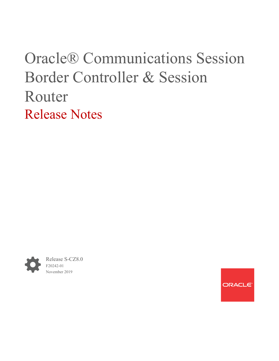# Oracle® Communications Session Border Controller & Session Router Release Notes



Release S-CZ8.0 F20242-01 November 2019

ORACLE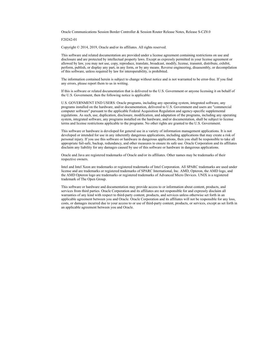Oracle Communications Session Border Controller & Session Router Release Notes, Release S-CZ8.0

F20242-01

Copyright © 2014, 2019, Oracle and/or its affiliates. All rights reserved.

This software and related documentation are provided under a license agreement containing restrictions on use and disclosure and are protected by intellectual property laws. Except as expressly permitted in your license agreement or allowed by law, you may not use, copy, reproduce, translate, broadcast, modify, license, transmit, distribute, exhibit, perform, publish, or display any part, in any form, or by any means. Reverse engineering, disassembly, or decompilation of this software, unless required by law for interoperability, is prohibited.

The information contained herein is subject to change without notice and is not warranted to be error-free. If you find any errors, please report them to us in writing.

If this is software or related documentation that is delivered to the U.S. Government or anyone licensing it on behalf of the U.S. Government, then the following notice is applicable:

U.S. GOVERNMENT END USERS: Oracle programs, including any operating system, integrated software, any programs installed on the hardware, and/or documentation, delivered to U.S. Government end users are "commercial computer software" pursuant to the applicable Federal Acquisition Regulation and agency-specific supplemental regulations. As such, use, duplication, disclosure, modification, and adaptation of the programs, including any operating system, integrated software, any programs installed on the hardware, and/or documentation, shall be subject to license terms and license restrictions applicable to the programs. No other rights are granted to the U.S. Government.

This software or hardware is developed for general use in a variety of information management applications. It is not developed or intended for use in any inherently dangerous applications, including applications that may create a risk of personal injury. If you use this software or hardware in dangerous applications, then you shall be responsible to take all appropriate fail-safe, backup, redundancy, and other measures to ensure its safe use. Oracle Corporation and its affiliates disclaim any liability for any damages caused by use of this software or hardware in dangerous applications.

Oracle and Java are registered trademarks of Oracle and/or its affiliates. Other names may be trademarks of their respective owners.

Intel and Intel Xeon are trademarks or registered trademarks of Intel Corporation. All SPARC trademarks are used under license and are trademarks or registered trademarks of SPARC International, Inc. AMD, Opteron, the AMD logo, and the AMD Opteron logo are trademarks or registered trademarks of Advanced Micro Devices. UNIX is a registered trademark of The Open Group.

This software or hardware and documentation may provide access to or information about content, products, and services from third parties. Oracle Corporation and its affiliates are not responsible for and expressly disclaim all warranties of any kind with respect to third-party content, products, and services unless otherwise set forth in an applicable agreement between you and Oracle. Oracle Corporation and its affiliates will not be responsible for any loss, costs, or damages incurred due to your access to or use of third-party content, products, or services, except as set forth in an applicable agreement between you and Oracle.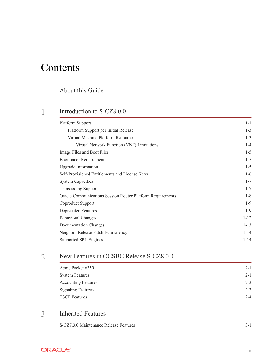## **Contents**

### [About this Guide](#page-4-0)

### 1 [Introduction to S-CZ8.0.0](#page-7-0)

| <b>Platform Support</b>                                    | $1 - 1$  |
|------------------------------------------------------------|----------|
| Platform Support per Initial Release                       | $1 - 3$  |
| Virtual Machine Platform Resources                         | $1 - 3$  |
| Virtual Network Function (VNF) Limitations                 | $1 - 4$  |
| Image Files and Boot Files                                 | $1 - 5$  |
| <b>Bootloader Requirements</b>                             | $1 - 5$  |
| <b>Upgrade Information</b>                                 | $1 - 5$  |
| Self-Provisioned Entitlements and License Keys             | $1-6$    |
| <b>System Capacities</b>                                   | $1 - 7$  |
| <b>Transcoding Support</b>                                 | $1 - 7$  |
| Oracle Communications Session Router Platform Requirements | $1 - 8$  |
| Coproduct Support                                          | $1-9$    |
| <b>Deprecated Features</b>                                 | $1-9$    |
| <b>Behavioral Changes</b>                                  | $1 - 12$ |
| Documentation Changes                                      | $1 - 13$ |
| Neighbor Release Patch Equivalency                         | $1 - 14$ |
| Supported SPL Engines                                      | $1 - 14$ |

### 2 [New Features in OCSBC Release S-CZ8.0.0](#page-22-0)

| Acme Packet 6350           | $2 - 1$ |
|----------------------------|---------|
| <b>System Features</b>     | $2 - 1$ |
| <b>Accounting Features</b> | $2 - 3$ |
| <b>Signaling Features</b>  | $2 - 3$ |
| <b>TSCF Features</b>       | $2 - 4$ |

### 3 [Inherited Features](#page-26-0)

[S-CZ7.3.0 Maintenance Release Features 3-1](#page-26-0)

ORACLE<sup>®</sup>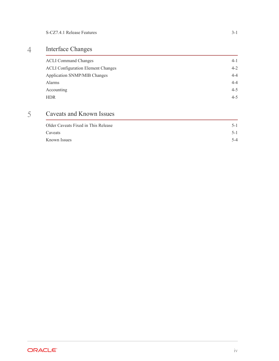## 4 [Interface Changes](#page-28-0)

| <b>ACLI Command Changes</b>               | $4 - 1$ |
|-------------------------------------------|---------|
| <b>ACLI Configuration Element Changes</b> | $4 - 2$ |
| Application SNMP/MIB Changes              | $4 - 4$ |
| Alarms                                    | $4 - 4$ |
| Accounting                                | $4 - 5$ |
| <b>HDR</b>                                | $4 - 5$ |

## 5 [Caveats and Known Issues](#page-33-0)

| Older Caveats Fixed in This Release | $5-1$ |
|-------------------------------------|-------|
| Caveats                             | $5-1$ |
| Known Issues                        | $5-4$ |

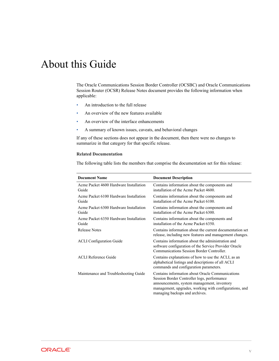## <span id="page-4-0"></span>About this Guide

The Oracle Communications Session Border Controller (OCSBC) and Oracle Communications Session Router (OCSR) Release Notes document provides the following information when applicable:

- An introduction to the full release
- An overview of the new features available
- An overview of the interface enhancements
- A summary of known issues, caveats, and behavioral changes

If any of these sections does not appear in the document, then there were no changes to summarize in that category for that specific release.

### **Related Documentation**

The following table lists the members that comprise the documentation set for this release:

| <b>Document Name</b>                            | <b>Document Description</b>                                                                                                                                                                                                                |
|-------------------------------------------------|--------------------------------------------------------------------------------------------------------------------------------------------------------------------------------------------------------------------------------------------|
| Acme Packet 4600 Hardware Installation<br>Guide | Contains information about the components and<br>installation of the Acme Packet 4600                                                                                                                                                      |
| Acme Packet 6100 Hardware Installation<br>Guide | Contains information about the components and<br>installation of the Acme Packet 6100.                                                                                                                                                     |
| Acme Packet 6300 Hardware Installation<br>Guide | Contains information about the components and<br>installation of the Acme Packet 6300.                                                                                                                                                     |
| Acme Packet 6350 Hardware Installation<br>Guide | Contains information about the components and<br>installation of the Acme Packet 6350.                                                                                                                                                     |
| <b>Release Notes</b>                            | Contains information about the current documentation set<br>release, including new features and management changes.                                                                                                                        |
| <b>ACLI Configuration Guide</b>                 | Contains information about the administration and<br>software configuration of the Service Provider Oracle<br>Communications Session Border Controller.                                                                                    |
| <b>ACLI</b> Reference Guide                     | Contains explanations of how to use the ACLI, as an<br>alphabetical listings and descriptions of all ACLI<br>commands and configuration parameters.                                                                                        |
| Maintenance and Troubleshooting Guide           | Contains information about Oracle Communications<br>Session Border Controller logs, performance<br>announcements, system management, inventory<br>management, upgrades, working with configurations, and<br>managing backups and archives. |

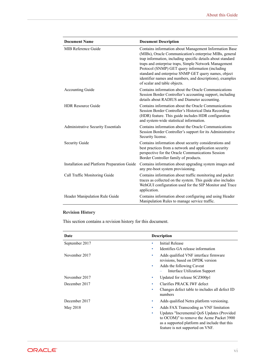| <b>Document Name</b>                        | <b>Document Description</b>                                                                                                                                                                                                                                                                                                                                                                                                                        |
|---------------------------------------------|----------------------------------------------------------------------------------------------------------------------------------------------------------------------------------------------------------------------------------------------------------------------------------------------------------------------------------------------------------------------------------------------------------------------------------------------------|
| MIB Reference Guide                         | Contains information about Management Information Base<br>(MIBs), Oracle Communication's enterprise MIBs, general<br>trap information, including specific details about standard<br>traps and enterprise traps, Simple Network Management<br>Protocol (SNMP) GET query information (including<br>standard and enterprise SNMP GET query names, object<br>identifier names and numbers, and descriptions), examples<br>of scalar and table objects. |
| <b>Accounting Guide</b>                     | Contains information about the Oracle Communications<br>Session Border Controller's accounting support, including<br>details about RADIUS and Diameter accounting.                                                                                                                                                                                                                                                                                 |
| <b>HDR Resource Guide</b>                   | Contains information about the Oracle Communications<br>Session Border Controller's Historical Data Recording<br>(HDR) feature. This guide includes HDR configuration<br>and system-wide statistical information.                                                                                                                                                                                                                                  |
| <b>Administrative Security Essentials</b>   | Contains information about the Oracle Communications<br>Session Border Controller's support for its Administrative<br>Security license.                                                                                                                                                                                                                                                                                                            |
| <b>Security Guide</b>                       | Contains information about security considerations and<br>best practices from a network and application security<br>perspective for the Oracle Communications Session<br>Border Controller family of products.                                                                                                                                                                                                                                     |
| Installation and Platform Preparation Guide | Contains information about upgrading system images and<br>any pre-boot system provisioning.                                                                                                                                                                                                                                                                                                                                                        |
| Call Traffic Monitoring Guide               | Contains information about traffic monitoring and packet<br>traces as collected on the system. This guide also includes<br>WebGUI configuration used for the SIP Monitor and Trace<br>application.                                                                                                                                                                                                                                                 |
| Header Manipulation Rule Guide              | Contains information about configuring and using Header<br>Manipulation Rules to manage service traffic.                                                                                                                                                                                                                                                                                                                                           |

### **Revision History**

This section contains a revision history for this document.

| Date           | <b>Description</b>                                                                                                                                                               |
|----------------|----------------------------------------------------------------------------------------------------------------------------------------------------------------------------------|
| September 2017 | Initial Release<br>۰                                                                                                                                                             |
|                | Identifies GA release information<br>۰                                                                                                                                           |
| November 2017  | Adds qualified VNF interface firmware<br>$\bullet$<br>revisions, based on DPDK version                                                                                           |
|                | Adds the following Caveat<br>$\bullet$<br>Interface Utilization Support                                                                                                          |
| November 2017  | Updated for release SCZ800p1<br>٠                                                                                                                                                |
| December 2017  | Clarifies PRACK IWF defect<br>$\bullet$                                                                                                                                          |
|                | Changes defect table to includes all defect ID<br>$\bullet$<br>numbers                                                                                                           |
| December 2017  | Adds qualified Netra platform versioning.<br>$\bullet$                                                                                                                           |
| May 2018       | Adds FAX Transcoding as VNF limitation<br>$\bullet$                                                                                                                              |
|                | Updates "Incremental QoS Updates (Provided<br>۰<br>to OCOM)" to remove the Acme Packet 3900<br>as a supported platform and include that this<br>feature is not supported on VNF. |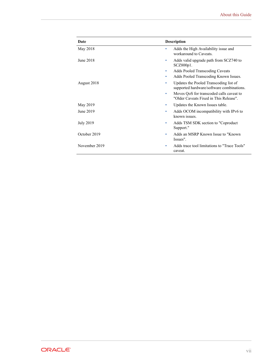| Date             | <b>Description</b>                                                                       |
|------------------|------------------------------------------------------------------------------------------|
| May 2018         | Adds the High Availability issue and<br>٠<br>workaround to Caveats.                      |
| June 2018        | Adds valid upgrade path from SCZ740 to<br>۰<br>$SCZ800p1$ .                              |
|                  | <b>Adds Pooled Transcoding Caveats</b><br>۰                                              |
|                  | Adds Pooled Transcoding Known Issues.<br>۰                                               |
| August 2018      | Updates the Pooled Transcoding list of<br>۰<br>supported hardware/software combinations. |
|                  | Moves QoS for transcoded calls caveat to<br>۰<br>"Older Caveats Fixed in This Release".  |
| May 2019         | Updates the Known Issues table.<br>۰                                                     |
| June 2019        | Adds OCOM incompatibility with IPv6 to<br>٠<br>known issues.                             |
| <b>July 2019</b> | Adds TSM SDK section to "Coproduct"<br>۰<br>Support."                                    |
| October 2019     | Adds an MSRP Known Issue to "Known"<br>۰<br>Issues".                                     |
| November 2019    | Adds trace tool limitations to "Trace Tools"<br>٠<br>caveat.                             |

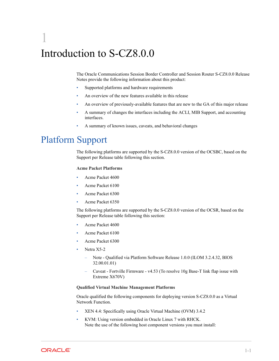## <span id="page-7-0"></span>1 Introduction to S-CZ8.0.0

The Oracle Communications Session Border Controller and Session Router S-CZ8.0.0 Release Notes provide the following information about this product:

- Supported platforms and hardware requirements
- An overview of the new features available in this release
- An overview of previously-available features that are new to the GA of this major release
- A summary of changes the interfaces including the ACLI, MIB Support, and accounting interfaces.
- A summary of known issues, caveats, and behavioral changes

## Platform Support

The following platforms are supported by the S-CZ8.0.0 version of the OCSBC, based on the Support per Release table following this section.

### **Acme Packet Platforms**

- Acme Packet 4600
- Acme Packet 6100
- Acme Packet 6300
- Acme Packet 6350

The following platforms are supported by the S-CZ8.0.0 version of the OCSR, based on the Support per Release table following this section:

- Acme Packet 4600
- Acme Packet 6100
- Acme Packet 6300
- Netra X5-2
	- Note Qualified via Platform Software Release 1.0.0 (ILOM 3.2.4.32, BIOS 32.00.01.01)
	- Caveat Fortville Firmware v4.53 (To resolve 10g Base-T link flap issue with Extreme X670V)

### **Qualified Virtual Machine Management Platforms**

Oracle qualified the following components for deploying version S-CZ8.0.0 as a Virtual Network Function.

- XEN 4.4: Specifically using Oracle Virtual Machine (OVM) 3.4.2
- KVM: Using version embedded in Oracle Linux 7 with RHCK. Note the use of the following host component versions you must install:

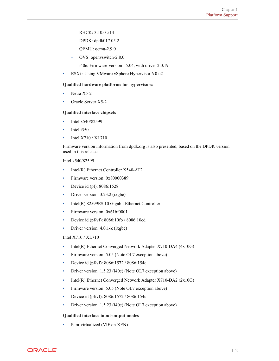- RHCK: 3.10.0-514
- DPDK: dpdk017.05.2
- QEMU: qemu-2.9.0
- OVS: openvswitch-2.8.0
- i40e: Firmware-version : 5.04, with driver 2.0.19
- ESXi : Using VMware vSphere Hypervisor 6.0 u2

### **Qualified hardware platforms for hypervisors:**

- Netra X5-2
- Oracle Server X5-2

### **Qualified interface chipsets**

- Intel x540/82599
- Intel i350
- Intel X710 / XL710

Firmware version information from dpdk.org is also presented, based on the DPDK version used in this release.

### Intel x540/82599

- Intel(R) Ethernet Controller X540-AT2
- Firmware version: 0x80000389
- Device id (pf): 8086:1528
- Driver version: 3.23.2 (ixgbe)
- Intel(R) 82599ES 10 Gigabit Ethernet Controller
- Firmware version: 0x61bf0001
- Device id (pf/vf):  $8086:10$ fb /  $8086:10$ ed
- Driver version: 4.0.1-k (ixgbe)

### Intel X710 / XL710

- Intel(R) Ethernet Converged Network Adapter X710-DA4 (4x10G)
- Firmware version: 5.05 (Note OL7 exception above)
- Device id (pf/vf): 8086:1572 / 8086:154c
- Driver version: 1.5.23 (i40e) (Note OL7 exception above)
- Intel(R) Ethernet Converged Network Adapter X710-DA2 (2x10G)
- Firmware version: 5.05 (Note OL7 exception above)
- Device id (pf/vf): 8086:1572 / 8086:154c
- Driver version: 1.5.23 (i40e) (Note OL7 exception above)

### **Qualified interface input-output modes**

• Para-virtualized (VIF on XEN)

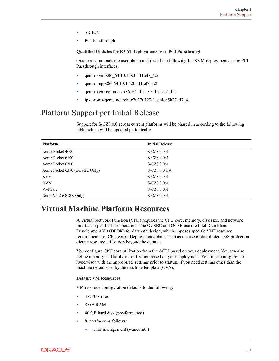- <span id="page-9-0"></span>SR-IOV
- PCI Passthrough

### **Qualified Updates for KVM Deployments over PCI Passthrough**

Oracle recommends the user obtain and install the following for KVM deployments using PCI Passthrough interfaces.

- qemu-kvm.x86\_64 10:1.5.3-141.el7\_4.2
- qemu-img.x86\_64 10:1.5.3-141.el7\_4.2
- qemu-kvm-common.x86\_64 10:1.5.3-141.el7\_4.2
- ipxe-roms-qemu.noarch 0:20170123-1.git4e85b27.el7\_4.1

## Platform Support per Initial Release

Support for S-CZ8.0.0 across current platforms will be phased in according to the following table, which will be updated periodically.

| <b>Platform</b>               | <b>Initial Release</b> |  |
|-------------------------------|------------------------|--|
| Acme Packet 4600              | $S-CZ8.0.0p1$          |  |
| Acme Packet 6100              | $S-CZ8.0.0p1$          |  |
| Acme Packet 6300              | $S-CZ8.0.0p1$          |  |
| Acme Packet 6350 (OCSBC Only) | S-CZ8.0.0 GA           |  |
| <b>KVM</b>                    | $S-CZ8.0.0p1$          |  |
| <b>OVM</b>                    | $S-CZ8.0.0p1$          |  |
| <b>VMWare</b>                 | S-CZ8.0.0p1            |  |
| Netra X5-2 (OCSR Only)        | $S-CZ8.0.0p1$          |  |

## **Virtual Machine Platform Resources**

A Virtual Network Function (VNF) requires the CPU core, memory, disk size, and network interfaces specified for operation. The OCSBC and OCSR use the Intel Data Plane Development Kit (DPDK) for datapath design, which imposes specific VNF resource requirements for CPU cores. Deployment details, such as the use of distributed DoS protection, dictate resource utilization beyond the defaults.

You configure CPU core utilization from the ACLI based on your deployment. You can also define memory and hard disk utilization based on your deployment. You must configure the hypervisor with the appropriate settings prior to startup, if you need settings other than the machine defaults set by the machine template (OVA).

### **Default VM Resources**

VM resource configuration defaults to the following:

- 4 CPU Cores
- 8 GB RAM
- 40 GB hard disk (pre-formatted)
- 8 interfaces as follows:
	- 1 for management (wancom0 )

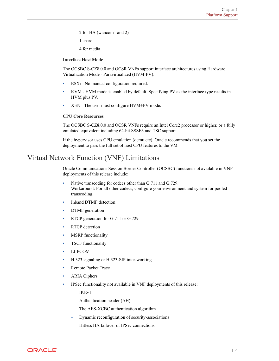- <span id="page-10-0"></span>– 2 for HA (wancom1 and 2)
- 1 spare
- 4 for media

### **Interface Host Mode**

The OCSBC S-CZ8.0.0 and OCSR VNFs support interface architectures using Hardware Virtualization Mode - Paravirtualized (HVM-PV):

- ESXi No manual configuration required.
- KVM HVM mode is enabled by default. Specifying PV as the interface type results in HVM plus PV.
- XEN The user must configure HVM+PV mode.

### **CPU Core Resources**

The OCSBC S-CZ8.0.0 and OCSR VNFs require an Intel Core2 processor or higher, or a fully emulated equivalent including 64-bit SSSE3 and TSC support.

If the hypervisor uses CPU emulation (qemu etc), Oracle recommends that you set the deployment to pass the full set of host CPU features to the VM.

### Virtual Network Function (VNF) Limitations

Oracle Communications Session Border Controller (OCSBC) functions not available in VNF deployments of this release include:

- Native transcoding for codecs other than G.711 and G.729. Workaround: For all other codecs, configure your environment and system for pooled transcoding.
- Inband DTMF detection
- DTMF generation
- RTCP generation for G.711 or G.729
- **RTCP** detection
- **MSRP** functionality
- TSCF functionality
- LI-PCOM
- H.323 signaling or H.323-SIP inter-working
- Remote Packet Trace
- ARIA Ciphers
- IPSec functionality not available in VNF deployments of this release:
	- IKEv1
	- Authentication header (AH)
	- The AES-XCBC authentication algorithm
	- Dynamic reconfiguration of security-associations
	- Hitless HA failover of IPSec connections.

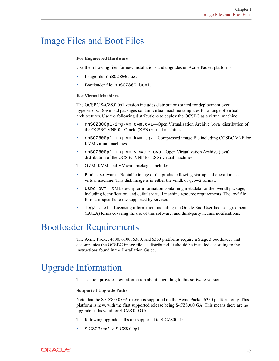## <span id="page-11-0"></span>Image Files and Boot Files

### **For Engineered Hardware**

Use the following files for new installations and upgrades on Acme Packet platforms.

- Image file: nnSCZ800.bz.
- Bootloader file: nnSCZ800.boot.

### **For Virtual Machines**

The OCSBC S-CZ8.0.0p1 version includes distributions suited for deployment over hypervisors. Download packages contain virtual machine templates for a range of virtual architectures. Use the following distributions to deploy the OCSBC as a virtual machine:

- nnSCZ800p1-img-vm\_ovm.ova—Open Virtualization Archive (.ova) distribution of the OCSBC VNF for Oracle (XEN) virtual machines.
- nnSCZ800p1-img-vm\_kvm.tgz—Compressed image file including OCSBC VNF for KVM virtual machines.
- nnSCZ800p1-img-vm\_vmware.ova—Open Virtualization Archive (.ova) distribution of the OCSBC VNF for ESXi virtual machines.

The OVM, KVM, and VMware packages include:

- Product software—Bootable image of the product allowing startup and operation as a virtual machine. This disk image is in either the vmdk or qcow2 format.
- usbc.ovf—XML descriptor information containing metadata for the overall package, including identification, and default virtual machine resource requirements. The .ovf file format is specific to the supported hypervisor.
- legal.txt—Licensing information, including the Oracle End-User license agreement (EULA) terms covering the use of this software, and third-party license notifications.

## Bootloader Requirements

The Acme Packet 4600, 6100, 6300, and 6350 platforms require a Stage 3 bootloader that accompanies the OCSBC image file, as distributed. It should be installed according to the instructions found in the Installation Guide.

## Upgrade Information

This section provides key information about upgrading to this software version.

### **Supported Upgrade Paths**

Note that the S-CZ8.0.0 GA release is supported on the Acme Packet 6350 platform only. This platform is new, with the first supported release being S-CZ8.0.0 GA. This means there are no upgrade paths valid for S-CZ8.0.0 GA.

The following upgrade paths are supported to S-CZ800p1:

• S-CZ7.3.0m2 -> S-CZ8.0.0p1

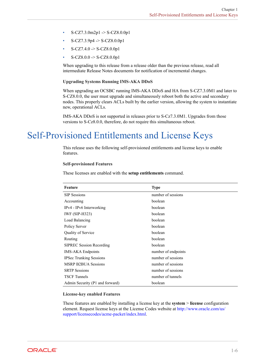- <span id="page-12-0"></span>• S-CZ7.3.0m2p1 -> S-CZ8.0.0p1
- $S-CZ7.3.9p4 \rightarrow S-CZ8.0.0p1$
- $S-CZ7.4.0 \ge S-CZ8.0.0p1$
- S-CZ8.0.0 -> S-CZ8.0.0p1

When upgrading to this release from a release older than the previous release, read all intermediate Release Notes documents for notification of incremental changes.

### **Upgrading Systems Running IMS-AKA DDoS**

When upgrading an OCSBC running IMS-AKA DDoS and HA from S-CZ7.3.0M1 and later to S-CZ8.0.0, the user must upgrade and simultaneously reboot both the active and secondary nodes. This properly clears ACLs built by the earlier version, allowing the system to instantiate new, operational ACLs.

IMS-AKA DDoS is not supported in releases prior to S-Cz7.3.0M1. Upgrades from those versions to S-Cz8.0.0, therefore, do not require this simultaneous reboot.

## Self-Provisioned Entitlements and License Keys

This release uses the following self-provisioned entitlements and license keys to enable features.

### **Self-provisioned Features**

These licenses are enabled with the **setup entitlements** command.

| Feature                         | <b>Type</b>         |
|---------------------------------|---------------------|
| <b>SIP Sessions</b>             | number of sessions  |
| Accounting                      | boolean             |
| IPv4 - IPv6 Interworking        | boolean             |
| <b>IWF (SIP-H323)</b>           | boolean             |
| Load Balancing                  | boolean             |
| Policy Server                   | boolean             |
| Quality of Service              | boolean             |
| Routing                         | boolean             |
| <b>SIPREC Session Recording</b> | boolean             |
| <b>IMS-AKA Endpoints</b>        | number of endpoints |
| <b>IPSec Trunking Sessions</b>  | number of sessions  |
| <b>MSRP B2BUA Sessions</b>      | number of sessions  |
| <b>SRTP Sessions</b>            | number of sessions  |
| <b>TSCF</b> Tunnels             | number of tunnels   |
| Admin Security (P1 and forward) | boolean             |

### **License-key enabled Features**

These features are enabled by installing a license key at the **system** > **license** configuration element. Request license keys at the License Codes website at [http://www.oracle.com/us/](HTTP://WWW.ORACLE.COM/US/SUPPORT/LICENSECODES/ACME-PACKET/INDEX.HTML) [support/licensecodes/acme-packet/index.html](HTTP://WWW.ORACLE.COM/US/SUPPORT/LICENSECODES/ACME-PACKET/INDEX.HTML).

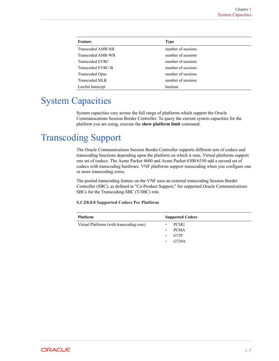<span id="page-13-0"></span>

| Feature                  | <b>Type</b>        |  |
|--------------------------|--------------------|--|
| <b>Transcoded AMR-NB</b> | number of sessions |  |
| <b>Transcoded AMR-WB</b> | number of sessions |  |
| Transcoded EVRC          | number of sessions |  |
| Transcoded EVRC-B        | number of sessions |  |
| <b>Transcoded Opus</b>   | number of sessions |  |
| Transcoded SILK          | number of sessions |  |
| Lawful Intercept         | boolean            |  |

## System Capacities

System capacities vary across the full range of platforms which support the Oracle Communications Session Border Controller. To query the current system capacities for the platform you are using, execute the **show platform limit** command.

## Transcoding Support

The Oracle Communications Session Border Controller supports different sets of codecs and transcoding functions depending upon the platform on which it runs. Virtual platforms support one set of codecs. The Acme Packet 4600 and Acme Packet 6300/6350 add a second set of codecs with transcoding hardware. VNF platforms support transcoding when you configure one or more transcoding cores.

The pooled transcoding feature on the VNF uses an external transcoding Session Border Controller (SBC), as defined in "Co-Product Support," for supported Oracle Communications SBCs for the Transcoding-SBC (T-SBC) role.

### **S.CZ8.0.0 Supported Codecs Per Platform**

| <b>Platform</b>                           | <b>Supported Codecs</b> |
|-------------------------------------------|-------------------------|
| Virtual Platforms (with transcoding core) | <b>PCMU</b>             |
|                                           | <b>PCMA</b><br>۰        |
|                                           | G729                    |
|                                           | G729A                   |

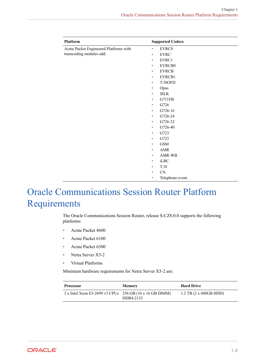<span id="page-14-0"></span>

| <b>Platform</b>                       | <b>Supported Codecs</b>  |
|---------------------------------------|--------------------------|
| Acme Packet Engineered Platforms with | EVRC0<br>$\bullet$       |
| transcoding modules add:              | <b>EVRC</b><br>۰         |
|                                       | EVRC1<br>۰               |
|                                       | EVRCB0<br>۰              |
|                                       | <b>EVRCB</b><br>۰        |
|                                       | EVRCB1<br>$\bullet$      |
|                                       | T.38OFD<br>$\bullet$     |
|                                       | Opus<br>۰                |
|                                       | <b>SILK</b><br>$\bullet$ |
|                                       | G711FB<br>۰              |
|                                       | G726<br>۰                |
|                                       | G726-16<br>۰             |
|                                       | G726-24<br>۰             |
|                                       | G726-32<br>۰             |
|                                       | G726-40<br>۰             |
|                                       | G723<br>۰                |
|                                       | G722<br>۰                |
|                                       | <b>GSM</b><br>۰          |
|                                       | AMR<br>۰                 |
|                                       | AMR-WB<br>۰              |
|                                       | iLBC<br>۰                |
|                                       | T.38<br>۰                |
|                                       | CN<br>۰                  |
|                                       | Telephone-event<br>۰     |

## Oracle Communications Session Router Platform Requirements

The Oracle Communications Session Router, release S-CZ8.0.0 supports the following platforms:

- Acme Packet 4600
- Acme Packet 6100
- Acme Packet 6300
- Netra Server X5-2
- Virtual Platforms

Minimum hardware requirements for Netra Server X5-2 are:

| <b>Processor</b>                                          | <b>Memory</b> | <b>Hard Drive</b>                |
|-----------------------------------------------------------|---------------|----------------------------------|
| 2 x Intel Xeon E5-2699 v3 CPUs $256$ GB (16 x 16 GB DIMM) | DDR4-2133     | $1.2$ TB $(2 \times 600$ GB HDD) |

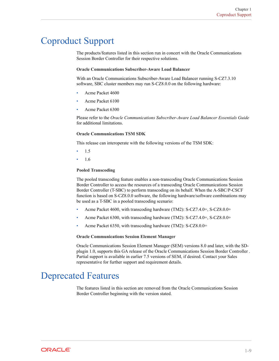## <span id="page-15-0"></span>Coproduct Support

The products/features listed in this section run in concert with the Oracle Communications Session Border Controller for their respective solutions.

### **Oracle Communications Subscriber-Aware Load Balancer**

With an Oracle Communications Subscriber-Aware Load Balancer running S-CZ7.3.10 software, SBC cluster members may run S-CZ8.0.0 on the following hardware:

- Acme Packet 4600
- Acme Packet 6100
- Acme Packet 6300

Please refer to the *Oracle Communications Subscriber-Aware Load Balancer Essentials Guide* for additional limitations.

### **Oracle Communications TSM SDK**

This release can interoperate with the following versions of the TSM SDK:

- 1.5
- 1.6

### **Pooled Transcoding**

The pooled transcoding feature enables a non-transcoding Oracle Communications Session Border Controller to access the resources of a transcoding Oracle Communications Session Border Controller (T-SBC) to perform transcoding on its behalf. When the A-SBC/P-CSCF function is based on S-CZ8.0.0 software, the following hardware/software combinations may be used as a T-SBC in a pooled transcoding scenario:

- Acme Packet 4600, with transcoding hardware (TM2): S-CZ7.4.0+, S-CZ8.0.0+
- Acme Packet 6300, with transcoding hardware (TM2): S-CZ7.4.0+, S-CZ8.0.0+
- Acme Packet 6350, with transcoding hardware (TM2): S-CZ8.0.0+

### **Oracle Communications Session Element Manager**

Oracle Communications Session Element Manager (SEM) versions 8.0 and later, with the SDplugin 1.0, supports this GA release of the Oracle Communications Session Border Controller . Partial support is available in earlier 7.5 versions of SEM, if desired. Contact your Sales representative for further support and requirement details.

## Deprecated Features

The features listed in this section are removed from the Oracle Communications Session Border Controller beginning with the version stated.

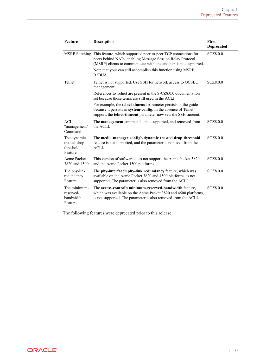| Feature                                               | <b>Description</b>                                                                                                                                                                                               | <b>First</b><br><b>Deprecated</b> |
|-------------------------------------------------------|------------------------------------------------------------------------------------------------------------------------------------------------------------------------------------------------------------------|-----------------------------------|
|                                                       | MSRP Stitching This feature, which supported peer-to-peer TCP connections for<br>peers behind NATs, enabling Message Session Relay Protocol<br>(MSRP) clients to communicate with one another, is not supported. | SCZ8.0.0                          |
|                                                       | Note that your can still accomplish this function using MSRP<br>B <sub>2</sub> BU <sub>A</sub>                                                                                                                   |                                   |
| Telnet                                                | Telnet is not supported. Use SSH for network access to OCSBC<br>management.                                                                                                                                      | SCZ8.0.0                          |
|                                                       | References to Telnet are present in the S-CZ8.0.0 documentation<br>set because those terms are still used in the ACLI.                                                                                           |                                   |
|                                                       | For example, the telnet-timeout parameter persists in the guide<br>because it persists in system-config. In the absence of Telnet<br>support, the telnet-timeout parameter now sets the SSH timeout.             |                                   |
| <b>ACLI</b><br>"management"<br>Command                | The <b>management</b> command is not supported, and removed from<br>the ACLI.                                                                                                                                    | SCZ8.0.0                          |
| The dynamic-<br>trusted-drop-<br>threshold<br>Feature | The media-manager-config's dynamic-trusted-drop-threshold<br>feature is not supported, and the parameter is removed from the<br>ACLI.                                                                            | SCZ8.0.0                          |
| Acme Packet<br>3820 and 4500                          | This version of software does not support the Acme Packet 3820<br>and the Acme Packet 4500 platforms.                                                                                                            | SCZ8.0.0                          |
| The phy-link<br>redundancy<br>Feature                 | The phy-interface's phy-link redundancy feature, which was<br>available on the Acme Packet 3820 and 4500 platforms, is not<br>supported. The parameter is also removed from the ACLI.                            | SCZ8.0.0                          |
| The minimum-<br>reserved-<br>bandwidth<br>Feature     | The access-control's minimum-reserved-bandwidth feature,<br>which was available on the Acme Packet 3820 and 4500 platforms,<br>is not supported. The parameter is also removed from the ACLI.                    | SCZ8.0.0                          |

The following features were deprecated prior to this release.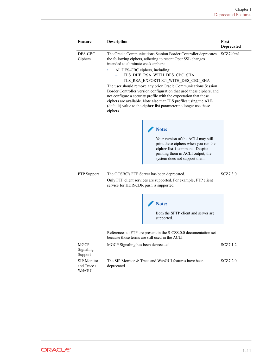| <b>Feature</b>                              | <b>Description</b>                                                                                                                                                                                                                                                                                                                                                                                                                                                                                                                                                                                                                             | <b>First</b><br>Deprecated |
|---------------------------------------------|------------------------------------------------------------------------------------------------------------------------------------------------------------------------------------------------------------------------------------------------------------------------------------------------------------------------------------------------------------------------------------------------------------------------------------------------------------------------------------------------------------------------------------------------------------------------------------------------------------------------------------------------|----------------------------|
| DES-CBC<br>Ciphers                          | The Oracle Communications Session Border Controller deprecates<br>the following ciphers, adhering to recent OpenSSL changes<br>intended to eliminate weak ciphers:<br>All DES-CBC ciphers, including:<br>TLS DHE RSA WITH DES CBC SHA<br>TLS RSA EXPORT1024_WITH_DES_CBC_SHA<br>The user should remove any prior Oracle Communications Session<br>Border Controller version configuration that used these ciphers, and<br>not configure a security profile with the expectation that these<br>ciphers are available. Note also that TLS profiles using the ALL<br>(default) value to the cipher-list parameter no longer use these<br>ciphers. |                            |
|                                             | Note:<br>Your version of the ACLI may still<br>print these ciphers when you run the<br>cipher-list ? command. Despite<br>printing them in ACLI output, the<br>system does not support them.                                                                                                                                                                                                                                                                                                                                                                                                                                                    |                            |
| <b>FTP</b> Support                          | The OCSBC's FTP Server has been deprecated.<br>Only FTP client services are supported. For example, FTP client<br>service for HDR/CDR push is supported.                                                                                                                                                                                                                                                                                                                                                                                                                                                                                       | SCZ7.3.0                   |
|                                             | Note:<br>Both the SFTP client and server are<br>supported.                                                                                                                                                                                                                                                                                                                                                                                                                                                                                                                                                                                     |                            |
|                                             | References to FTP are present in the S-CZ8.0.0 documentation set<br>because those terms are still used in the ACLI.                                                                                                                                                                                                                                                                                                                                                                                                                                                                                                                            |                            |
| <b>MGCP</b><br>Signaling<br>Support         | MGCP Signaling has been deprecated.                                                                                                                                                                                                                                                                                                                                                                                                                                                                                                                                                                                                            | SCZ7.1.2                   |
| <b>SIP</b> Monitor<br>and Trace /<br>WebGUI | The SIP Monitor & Trace and WebGUI features have been<br>deprecated.                                                                                                                                                                                                                                                                                                                                                                                                                                                                                                                                                                           | SCZ7.2.0                   |

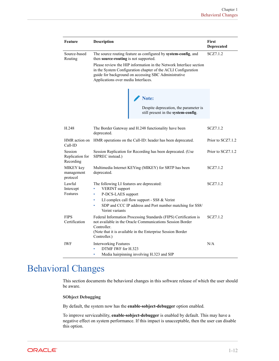<span id="page-18-0"></span>

| Feature                                 | Description                                                                                                                                                                                                                                               | First<br>Deprecated |
|-----------------------------------------|-----------------------------------------------------------------------------------------------------------------------------------------------------------------------------------------------------------------------------------------------------------|---------------------|
| Source-based<br>Routing                 | The source routing feature as configured by system-config, and<br>then source-routing is not supported.                                                                                                                                                   | SCZ7.1.2            |
|                                         | Please review the HIP information in the Network Interface section<br>in the System Configuration chapter of the ACLI Configuration<br>guide for background on accessing SBC Administrative<br>Applications over media Interfaces.                        |                     |
|                                         | Note:<br>Despite deprecation, the parameter is<br>still present in the system-config.                                                                                                                                                                     |                     |
| H.248                                   | The Border Gateway and H.248 functionality have been<br>deprecated.                                                                                                                                                                                       | SCZ7.1.2            |
| HMR action on<br>Call-ID                | HMR operations on the Call-ID: header has been deprecated.                                                                                                                                                                                                | Prior to SCZ7.1.2   |
| Session<br>Replication for<br>Recording | Session Replication for Recording has been deprecated. (Use<br>SIPREC instead.)                                                                                                                                                                           | Prior to SCZ7.1.2   |
| MIKEY key<br>management<br>protocol     | Multimedia Internet KEYing (MIKEY) for SRTP has been<br>deprecated.                                                                                                                                                                                       | SCZ7.1.2            |
| Lawful<br>Intercept<br>Features         | The following LI features are deprecated:<br>SCZ7.1.2<br><b>VERINT</b> support<br>$\bullet$<br>P-DCS-LAES support<br>۰<br>LI complex call flow support - SS8 & Verint<br>۰<br>SDP and CCC IP address and Port number matching for SS8/<br>Verint variants |                     |
| <b>FIPS</b><br>Certification            | Federal Information Processing Standards (FIPS) Certification is<br>not available in the Oracle Communications Session Border<br>Controller.<br>(Note that it is available in the Enterprise Session Border)<br>Controller.)                              | SCZ7.1.2            |
| <b>IWF</b>                              | <b>Interworking Features</b><br>DTMF IWF for H.323<br>Media hairpinning involving H.323 and SIP<br>$\bullet$                                                                                                                                              | N/A                 |

## Behavioral Changes

This section documents the behavioral changes in this software release of which the user should be aware.

### **SObject Debugging**

By default, the system now has the **enable-sobject-debugger** option enabled.

To improve serviceability, **enable-sobject-debugger** is enabled by default. This may have a negative effect on system performance. If this impact is unacceptable, then the user can disable this option.

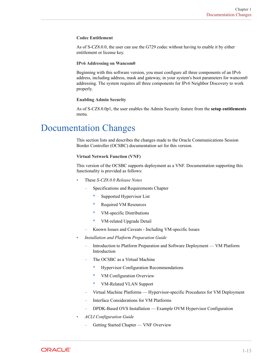### <span id="page-19-0"></span>**Codec Entitlement**

As of S-CZ8.0.0, the user can use the G729 codec without having to enable it by either entitlement or license key.

### **IPv6 Addressing on Wancom0**

Beginning with this software version, you must configure all three components of an IPv6 address, including address, mask and gateway, in your system's boot parameters for wancom0 addressing. The system requires all three components for IPv6 Neighbor Discovery to work properly.

### **Enabling Admin Security**

As of S-CZ8.0.0p1, the user enables the Admin Security feature from the **setup entitlements** menu.

## Documentation Changes

This section lists and describes the changes made to the Oracle Communications Session Border Controller (OCSBC) documentation set for this version.

### **Virtual Network Function (VNF)**

This version of the OCSBC supports deployment as a VNF. Documentation supporting this functionality is provided as follows:

- These *S-CZ8.0.0 Release Notes*
	- Specifications and Requirements Chapter
		- \* Supported Hypervisor List
		- \* Required VM Resources
		- \* VM-specific Distributions
		- \* VM-related Upgrade Detail
	- Known Issues and Caveats Including VM-specific Issues
- *Installation and Platform Preparation Guide*
	- Introduction to Platform Preparation and Software Deployment VM Platform Introduction
	- The OCSBC as a Virtual Machine
		- \* Hypervisor Configuration Recommendations
		- \* VM Configuration Overview
		- \* VM-Related VLAN Support
	- Virtual Machine Platforms Hypervisor-specific Procedures for VM Deployment
	- Interface Considerations for VM Platforms
	- DPDK-Based OVS Installation Example OVM Hypervisor Configuration
- *ACLI Configuration Guide*
	- Getting Started Chapter VNF Overview

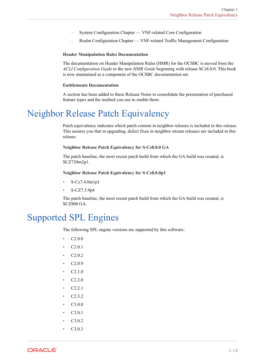- <span id="page-20-0"></span>– System Configuration Chapter — VNF-related Core Configuration
- Realm Configuration Chapter VNF-related Traffic Management Configuration

### **Header Manipulation Rules Documentation**

The documentation on Header Manipulation Rules (HMR) for the OCSBC is moved from the *ACLI Configuration Guide* to the new *HMR Guide* beginning with release SCz8.0.0. This book is now maintained as a component of the OCSBC documentation set.

#### **Entitlements Documentation**

A section has been added to these Release Notes to consolidate the presentation of purchased feature types and the method you use to enable them.

## Neighbor Release Patch Equivalency

Patch equivalency indicates which patch content in neighbor releases is included in this release. This assures you that in upgrading, defect fixes in neighbor stream releases are included in this release.

### **Neighbor Release Patch Equivalency for S-Cz8.0.0 GA**

The patch baseline, the most recent patch build from which the GA build was created, is SCZ730m2p1.

**Neighbor Release Patch Equivalency for S-Cz8.0.0p1**

- S-Cz7.4.0m1p1
- S-CZ7.3.9p4

The patch baseline, the most recent patch build from which the GA build was created, is SCZ800 GA.

## Supported SPL Engines

The following SPL engine versions are supported by this software:

- $C2.0.0$
- C2.0.1
- C2.0.2
- C2.0.9
- $C2.1.0$
- C2.2.0
- C2.2.1
- C2.3.2
- C3.0.0
- C3.0.1
- C3.0.2
- C3.0.3

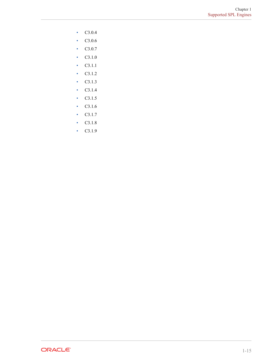- $C3.0.4$
- C3.0.6
- $C3.0.7$
- $C3.1.0$
- C3.1.1
- $C3.1.2$
- $C3.1.3$
- $C3.1.4$
- $C3.1.5$
- C3.1.6
- C3.1.7
- C3.1.8
- $C3.1.9$

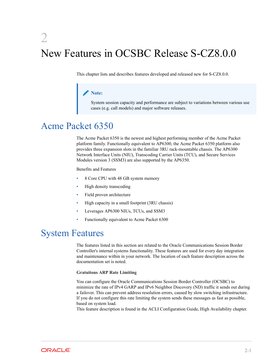## <span id="page-22-0"></span>2 New Features in OCSBC Release S-CZ8.0.0

This chapter lists and describes features developed and released new for S-CZ8.0.0.

### **Note:**

System session capacity and performance are subject to variations between various use cases (e.g. call models) and major software releases.

## Acme Packet 6350

The Acme Packet 6350 is the newest and highest performing member of the Acme Packet platform family. Functionally equivalent to AP6300, the Acme Packet 6350 platform also provides three expansion slots in the familiar 3RU rack-mountable chassis. The AP6300 Network Interface Units (NIU), Transcoding Carrier Units (TCU), and Secure Services Modules version 3 (SSM3) are also supported by the AP6350.

Benefits and Features

- 8 Core CPU with 48 GB system memory
- High density transcoding
- Field proven architecture
- High capacity in a small footprint (3RU chassis)
- Leverages AP6300 NIUs, TCUs, and SSM3
- Functionally equivalent to Acme Packet 6300

## System Features

The features listed in this section are related to the Oracle Communications Session Border Controller's internal systems functionality. These features are used for every day integration and maintenance within in your network. The location of each feature description across the documentation set is noted.

### **Gratuitous ARP Rate Limiting**

You can configure the Oracle Communications Session Border Controller (OCSBC) to minimize the rate of IPv4 GARP and IPv6 Neighbor Discovery (ND) traffic it sends out during a failover. This can prevent address resolution errors, caused by slow switching infrastructure. If you do not configure this rate limiting the system sends these messages as fast as possible, based on system load.

This feature description is found in the ACLI Configuration Guide, High Availability chapter.

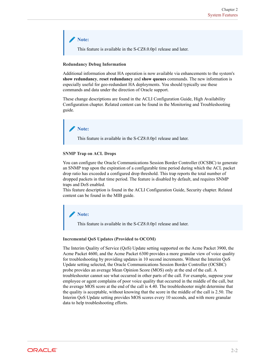**Note:** This feature is available in the S-CZ8.0.0p1 release and later.

### **Redundancy Debug Information**

Additional information about HA operation is now available via enhancements to the system's **show redundancy**, **reset redundancy** and **show queues** commands. The new information is especially useful for geo-redundant HA deployments. You should typically use these commands and data under the direction of Oracle support.

These change descriptions are found in the ACLI Configuration Guide, High Availability Configuration chapter. Related content can be found in the Monitoring and Troubleshooting guide.

### **Note:**

This feature is available in the S-CZ8.0.0p1 release and later.

### **SNMP Trap on ACL Drops**

You can configure the Oracle Communications Session Border Controller (OCSBC) to generate an SNMP trap upon the expiration of a configurable time period during which the ACL packet drop ratio has exceeded a configured drop threshold. This trap reports the total number of dropped packets in that time period. The feature is disabled by default, and requires SNMP traps and DoS enabled.

This feature description is found in the ACLI Configuration Guide, Security chapter. Related content can be found in the MIB guide.

**Note:**

This feature is available in the S-CZ8.0.0p1 release and later.

### **Incremental QoS Updates (Provided to OCOM)**

The Interim Quality of Service (QoS) Update setting supported on the Acme Packet 3900, the Acme Packet 4600, and the Acme Packet 6300 provides a more granular view of voice quality for troubleshooting by providing updates in 10 second increments. Without the Interim QoS Update setting selected, the Oracle Communications Session Border Controller (OCSBC) probe provides an average Mean Opinion Score (MOS) only at the end of the call. A troubleshooter cannot see what occurred in other parts of the call. For example, suppose your employee or agent complains of poor voice quality that occurred in the middle of the call, but the average MOS score at the end of the call is 4.40. The troubleshooter might determine that the quality is acceptable, without knowing that the score in the middle of the call is 2.50. The Interim QoS Update setting provides MOS scores every 10 seconds, and with more granular data to help troubleshooting efforts.

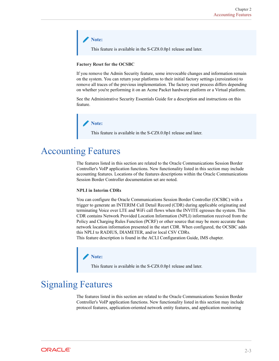### <span id="page-24-0"></span>**Note:**

This feature is available in the S-CZ8.0.0p1 release and later.

### **Factory Reset for the OCSBC**

If you remove the Admin Security feature, some irrevocable changes and information remain on the system. You can return your platforms to their initial factory settings (zeroization) to remove all traces of the previous implementation. The factory reset process differs depending on whether you're performing it on an Acme Packet hardware platform or a Virtual platform.

See the Administrative Security Essentials Guide for a description and instructions on this feature.

### **Note:**

This feature is available in the S-CZ8.0.0p1 release and later.

## Accounting Features

The features listed in this section are related to the Oracle Communications Session Border Controller's VoIP application functions. New functionality listed in this section may include accounting features. Locations of the features descriptions within the Oracle Communications Session Border Controller documentation set are noted.

### **NPLI in Interim CDRs**

You can configure the Oracle Communications Session Border Controller (OCSBC) with a trigger to generate an INTERIM Call Detail Record (CDR) during applicable originating and terminating Voice over LTE and WiFi call flows when the INVITE egresses the system. This CDR contains Network Provided Location Information (NPLI) information received from the Policy and Charging Rules Function (PCRF) or other source that may be more accurate than network location information presented in the start CDR. When configured, the OCSBC adds this NPLI to RADIUS, DIAMETER, and/or local CSV CDRs.

This feature description is found in the ACLI Configuration Guide, IMS chapter.

### **Note:**

This feature is available in the S-CZ8.0.0p1 release and later.

## Signaling Features

The features listed in this section are related to the Oracle Communications Session Border Controller's VoIP application functions. New functionality listed in this section may include protocol features, application-oriented network entity features, and application monitoring

**ORACLE**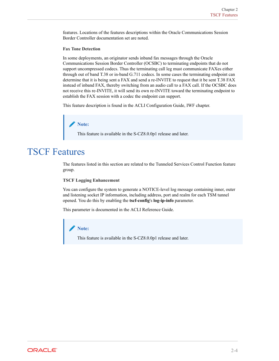<span id="page-25-0"></span>features. Locations of the features descriptions within the Oracle Communications Session Border Controller documentation set are noted.

### **Fax Tone Detection**

In some deployments, an originator sends inband fax messages through the Oracle Communications Session Border Controller (OCSBC) to terminating endpoints that do not support uncompressed codecs. Thus the terminating call leg must communicate FAXes either through out of band T.38 or in-band G.711 codecs. In some cases the terminating endpoint can determine that it is being sent a FAX and send a re-INVITE to request that it be sent T.38 FAX instead of inband FAX, thereby switching from an audio call to a FAX call. If the OCSBC does not receive this re-INVITE, it will send its own re-INVITE toward the terminating endpoint to establish the FAX session with a codec the endpoint can support.

This feature description is found in the ACLI Configuration Guide, IWF chapter.

### **Note:**

This feature is available in the S-CZ8.0.0p1 release and later.

## TSCF Features

The features listed in this section are related to the Tunneled Services Control Function feature group.

#### **TSCF Logging Enhancement**

You can configure the system to generate a NOTICE-level log message containing inner, outer and listening socket IP information, including address, port and realm for each TSM tunnel opened. You do this by enabling the **tscf-config**'s **log-ip-info** parameter.

This parameter is documented in the ACLI Reference Guide.

### **Note:**

This feature is available in the S-CZ8.0.0p1 release and later.

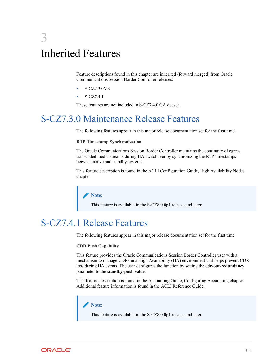## <span id="page-26-0"></span>3 Inherited Features

Feature descriptions found in this chapter are inherited (forward merged) from Oracle Communications Session Border Controller releases:

- S-CZ7.3.0M3
- S-CZ7.4.1

These features are not included in S-CZ7.4.0 GA docset.

## S-CZ7.3.0 Maintenance Release Features

The following features appear in this major release documentation set for the first time.

### **RTP Timestamp Synchronization**

The Oracle Communications Session Border Controller maintains the continuity of egress transcoded media streams during HA switchover by synchronizing the RTP timestamps between active and standby systems.

This feature description is found in the ACLI Configuration Guide, High Availability Nodes chapter.

### **Note:**

This feature is available in the S-CZ8.0.0p1 release and later.

## S-CZ7.4.1 Release Features

The following features appear in this major release documentation set for the first time.

### **CDR Push Capability**

This feature provides the Oracle Communications Session Border Controller user with a mechanism to manage CDRs in a High Availability (HA) environment that helps prevent CDR loss during HA events. The user configures the function by setting the **cdr-out-redundancy** parameter to the **standby-push** value.

This feature description is found in the Accounting Guide, Configuring Accounting chapter. Additional feature information is found in the ACLI Reference Guide.

### **Note:**

This feature is available in the S-CZ8.0.0p1 release and later.

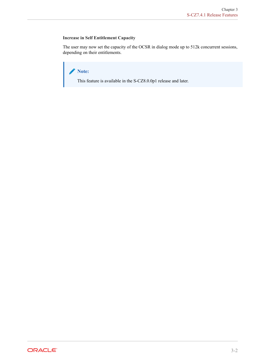### **Increase in Self Entitlement Capacity**

The user may now set the capacity of the OCSR in dialog mode up to 512k concurrent sessions, depending on their entitlements.

**Note:**

This feature is available in the S-CZ8.0.0p1 release and later.

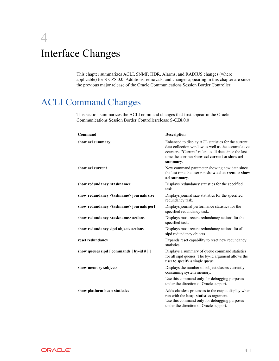## <span id="page-28-0"></span>4 Interface Changes

This chapter summarizes ACLI, SNMP, HDR, Alarms, and RADIUS changes (where applicable) for S-CZ8.0.0. Additions, removals, and changes appearing in this chapter are since the previous major release of the Oracle Communications Session Border Controller.

## ACLI Command Changes

This section summarizes the ACLI command changes that first appear in the Oracle Communications Session Border Controllerrelease S-CZ8.0.0

| Command                                                                  | Description                                                                                                                                                                                                                     |
|--------------------------------------------------------------------------|---------------------------------------------------------------------------------------------------------------------------------------------------------------------------------------------------------------------------------|
| show acl summary                                                         | Enhanced to display ACL statistics for the current<br>data collection window as well as the accumulative<br>counters. "Current" refers to all data since the last<br>time the user ran show acl current or show acl<br>summary. |
| show acl current                                                         | New command parameter showing new data since<br>the last time the user ran show acl current or show<br>acl summary.                                                                                                             |
| show redundancy <taskname></taskname>                                    | Displays redundancy statistics for the specified<br>task.                                                                                                                                                                       |
| show redundancy <taskname> journals size</taskname>                      | Displays journal size statistics for the specified<br>redundancy task.                                                                                                                                                          |
| show redundancy <taskname> journals perf</taskname>                      | Displays journal performance statistics for the<br>specified redundancy task.                                                                                                                                                   |
| show redundancy <taskname> actions</taskname>                            | Displays most recent redundancy actions for the<br>specified task.                                                                                                                                                              |
| show redundancy sipd objects actions                                     | Displays most recent redundancy actions for all<br>sipd redundancy objects.                                                                                                                                                     |
| reset redundancy                                                         | Expands reset capability to reset new redundancy<br>statistics.                                                                                                                                                                 |
| show queues sipd $\lceil$ commands $\lceil$ by-id $\#$ $\rceil$ $\rceil$ | Displays a summary of queue command statistics<br>for all sipd queues. The by-id argument allows the<br>user to specify a single queue.                                                                                         |
| show memory sobjects                                                     | Displays the number of sobject classes currently<br>consuming system memory.                                                                                                                                                    |
|                                                                          | Use this command only for debugging purposes<br>under the direction of Oracle support.                                                                                                                                          |
| show platform heap-statistics                                            | Adds classless processes to the output display when<br>run with the heap-statistics argument.<br>Use this command only for debugging purposes<br>under the direction of Oracle support.                                         |

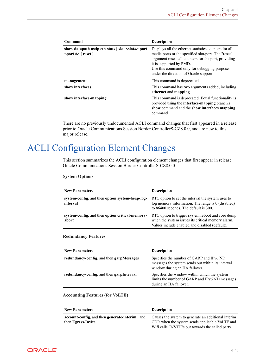<span id="page-29-0"></span>

| Command                                                                                                                                                                                                                                                                                                                                                                                                                                                                                                                                                                                                                                                                                                                                                                                                                                                   | <b>Description</b>                                                                                                                                                                                                                                                                        |
|-----------------------------------------------------------------------------------------------------------------------------------------------------------------------------------------------------------------------------------------------------------------------------------------------------------------------------------------------------------------------------------------------------------------------------------------------------------------------------------------------------------------------------------------------------------------------------------------------------------------------------------------------------------------------------------------------------------------------------------------------------------------------------------------------------------------------------------------------------------|-------------------------------------------------------------------------------------------------------------------------------------------------------------------------------------------------------------------------------------------------------------------------------------------|
| show datapath usdp eth-stats [slot <slot#> port<br/><math>\epsilon</math> = <math>\epsilon</math> = <math>\epsilon</math> = <math>\epsilon</math> = <math>\epsilon</math> = <math>\epsilon</math> = <math>\epsilon</math> = <math>\epsilon</math> = <math>\epsilon</math> = <math>\epsilon</math> = <math>\epsilon</math> = <math>\epsilon</math> = <math>\epsilon</math> = <math>\epsilon</math> = <math>\epsilon</math> = <math>\epsilon</math> = <math>\epsilon</math> = <math>\epsilon</math> = <math>\epsilon</math> = <math>\epsilon</math> = <math>\epsilon</math> = <math>\epsilon</math> = <math>\epsilon</math> = <math>\epsilon</math> = <math>\epsilon</math> = <math>\epsilon</math> = <math>\epsilon</math> = <math>\epsilon</math> = <math>\epsilon</math> = <math>\epsilon</math> = <math>\epsilon</math> = <math>\epsilon</math></slot#> | Displays all the ethernet statistics counters for all<br>media ports or the specified slot/port. The "reset"<br>argument resets all counters for the port, providing<br>it is supported by PMD.<br>Use this command only for debugging purposes<br>under the direction of Oracle support. |
| management                                                                                                                                                                                                                                                                                                                                                                                                                                                                                                                                                                                                                                                                                                                                                                                                                                                | This command is deprecated.                                                                                                                                                                                                                                                               |
| show interfaces                                                                                                                                                                                                                                                                                                                                                                                                                                                                                                                                                                                                                                                                                                                                                                                                                                           | This command has two arguments added, including<br>ethernet and mapping.                                                                                                                                                                                                                  |
| show interface-mapping                                                                                                                                                                                                                                                                                                                                                                                                                                                                                                                                                                                                                                                                                                                                                                                                                                    | This command is deprecated. Equal functionality is<br>provided using the interface-mapping branch's<br>show command and the show interfaces mapping<br>command.                                                                                                                           |

There are no previously undocumented ACLI command changes that first appeared in a release prior to Oracle Communications Session Border ControllerS-CZ8.0.0, and are new to this major release.

## ACLI Configuration Element Changes

This section summarizes the ACLI configuration element changes that first appear in release Oracle Communications Session Border ControllerS-CZ8.0.0

#### **System Options**

| <b>New Parameters</b>                                       | <b>Description</b>                                                                                                                                       |
|-------------------------------------------------------------|----------------------------------------------------------------------------------------------------------------------------------------------------------|
| system-config. and then option system-heap-log-<br>interval | RTC option to set the interval the system uses to<br>$log$ memory information. The range is $0$ (disabled)<br>to 86400 seconds. The default is 300.      |
| system-config. and then option critical-memory-<br>abort    | RTC option to trigger system reboot and core dump<br>when the system issues its critical memory alarm.<br>Values include enabled and disabled (default). |

### **Redundancy Features**

| <b>New Parameters</b>                    | <b>Description</b>                                                                                                             |
|------------------------------------------|--------------------------------------------------------------------------------------------------------------------------------|
| redundancy-config. and then garpMessages | Specifies the number of GARP and IPv6 ND<br>messages the system sends out within its interval<br>window during an HA failover. |
| redundancy-config, and then garpInterval | Specifies the window within which the system<br>limits the number of GARP and IPv6 ND messages<br>during an HA failover.       |

### **Accounting Features (for VoLTE)**

| <b>New Parameters</b>                          | <b>Description</b>                                  |
|------------------------------------------------|-----------------------------------------------------|
| account-config. and then generate-interim, and | Causes the system to generate an additional interim |
| then Egress-Invite                             | CDR when the system sends applicable VoLTE and      |
|                                                | Wifi calls' INVITEs out towards the called party.   |

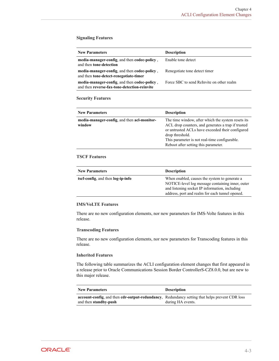### **Signaling Features**

| <b>New Parameters</b>                                                                        | <b>Description</b>                        |
|----------------------------------------------------------------------------------------------|-------------------------------------------|
| media-manager-config. and then codec-policy.<br>and then <b>tone-detection</b>               | Enable tone detect                        |
| media-manager-config. and then codec-policy.<br>and then tone-detect-renegotiate-timer       | Renegotiate tone detect timer             |
| media-manager-config, and then codec-policy,<br>and then reverse-fax-tone-detection-reinvite | Force SBC to send ReInvite on other realm |

### **Security Features**

| <b>New Parameters</b>                                 | <b>Description</b>                                                                                                                                                                                                                                                       |
|-------------------------------------------------------|--------------------------------------------------------------------------------------------------------------------------------------------------------------------------------------------------------------------------------------------------------------------------|
| media-manager-config, and then acl-monitor-<br>window | The time window, after which the system resets its<br>ACL drop counters, and generates a trap if trusted<br>or untrusted ACLs have exceeded their configured<br>drop threshold.<br>This parameter is not real-time configurable.<br>Reboot after setting this parameter. |

### **TSCF Features**

| <b>New Parameters</b>             | <b>Description</b>                                                                                                                                                                                     |
|-----------------------------------|--------------------------------------------------------------------------------------------------------------------------------------------------------------------------------------------------------|
| tscf-config, and then log-ip-info | When enabled, causes the system to generate a<br>NOTICE-level log message containing inner, outer<br>and listening socket IP information, including<br>address, port and realm for each tunnel opened. |

### **IMS/VoLTE Features**

There are no new configuration elements, nor new parameters for IMS-Volte features in this release.

### **Transcoding Features**

There are no new configuration elements, nor new parameters for Transcoding features in this release.

### **Inherited Features**

The following table summarizes the ACLI configuration element changes that first appeared in a release prior to Oracle Communications Session Border ControllerS-CZ8.0.0, but are new to this major release.

| <b>New Parameters</b>                                                                                                                         | <b>Description</b> |
|-----------------------------------------------------------------------------------------------------------------------------------------------|--------------------|
| <b>account-config.</b> and then <b>cdr-output-redundancy</b> , Redundancy setting that helps prevent CDR loss<br>and then <b>standby-push</b> | during HA events.  |

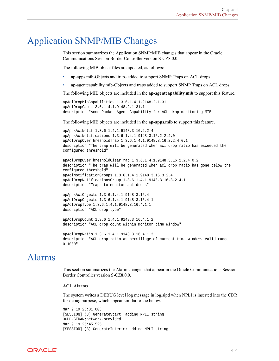## <span id="page-31-0"></span>Application SNMP/MIB Changes

This section summarizes the Application SNMP/MIB changes that appear in the Oracle Communications Session Border Controller version S-CZ8.0.0.

The following MIB object files are updated, as follows:

- ap-apps.mib-Objects and traps added to support SNMP Traps on ACL drops.
- ap-agentcapability.mib-Objects and traps added to support SNMP Traps on ACL drops.

The following MIB objects are included in the **ap-agentcapability.mib** to support this feature.

```
apAclDropMibCapabilities 1.3.6.1.4.1.9148.2.1.31
apAclDropCap 1.3.6.1.4.1.9148.2.1.31.1
description "Acme Packet Agent Capability for ACL drop monitoring MIB"
```
The following MIB objects are included in the **ap-apps.mib** to support this feature.

```
apAppsAclNotif 1.3.6.1.4.1.9148.3.16.2.2.4
apAppsAclNotifications 1.3.6.1.4.1.9148.3.16.2.2.4.0
apAclDropOverThresholdTrap 1.3.6.1.4.1.9148.3.16.2.2.4.0.1
description "The trap will be generated when acl drop ratio has exceeded the 
configured threshold"
```

```
apAclDropOverThresholdClearTrap 1.3.6.1.4.1.9148.3.16.2.2.4.0.2
description "The trap will be generated when acl drop ratio has gone below the 
configured threshold"
apAclNotificationGroups 1.3.6.1.4.1.9148.3.16.3.2.4
apAclDropNotificationsGroup 1.3.6.1.4.1.9148.3.16.3.2.4.1
description "Traps to monitor acl drops"
```

```
apAppsAclObjects 1.3.6.1.4.1.9148.3.16.4
apAclDropObjects 1.3.6.1.4.1.9148.3.16.4.1
apAclDropType 1.3.6.1.4.1.9148.3.16.4.1.1
description "ACL drop type"
```

```
apAclDropCount 1.3.6.1.4.1.9148.3.16.4.1.2
description "ACL drop count within monitor time window"
```

```
apAclDropRatio 1.3.6.1.4.1.9148.3.16.4.1.3
description "ACL drop ratio as permillage of current time window. Valid range 
0-1000"
```
## Alarms

This section summarizes the Alarm changes that appear in the Oracle Communications Session Border Controller version S-CZ8.0.0.

### **ACL Alarms**

The system writes a DEBUG level log message in log.sipd when NPLI is inserted into the CDR for debug purpose, which appear similar to the below.

```
Mar 9 19:25:01.803
[SESSION] (3) GenerateStart: adding NPLI string
3GPP-GERAN;network-provided
Mar 9 19:25:45.525
[SESSION] (3) GenerateInterim: adding NPLI string
```
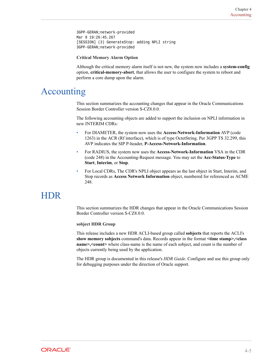<span id="page-32-0"></span>3GPP-GERAN;network-provided Mar 9 19:26:45.267 [SESSION] (3) GenerateStop: adding NPLI string 3GPP-GERAN;network-provided

### **Critical Memory Alarm Option**

Although the critical memory alarm itself is not new, the system now includes a **system-config** option, **critical-memory-abort**, that allows the user to configure the system to reboot and perform a core dump upon the alarm.

## Accounting

This section summarizes the accounting changes that appear in the Oracle Communications Session Border Controller version S-CZ8.0.0.

The following accounting objects are added to support the inclusion on NPLI information in new INTERIM CDRs:

- For DIAMETER, the system now uses the **Access-Network-Information** AVP (code 1263) in the ACR (Rf interface), which is of type OctetString. Per 3GPP TS 32.299, this AVP indicates the SIP P-header, **P-Access-Network-Information**.
- For RADIUS, the system now uses the **Access-Network-Information** VSA in the CDR (code 248) in the Accounting-Request message. You may set the **Acc-Status-Type** to **Start**, **Interim**, or **Stop**.
- For Local CDRs, The CDR's NPLI object appears as the last object in Start, Interim, and Stop records as **Access Network Information** object, numbered for referenced as ACME 248.

## **HDR**

This section summarizes the HDR changes that appear in the Oracle Communications Session Border Controller version S-CZ8.0.0.

### **sobject HDR Group**

This release includes a new HDR ACLI-based group called **sobjects** that reports the ACLI's **show memory sobjects** command's data. Records appear in the format **<time stamp>,<class name>,<count>** where class-name is the name of each sobject, and count is the number of objects currently being used by the application.

The HDR group is documented in this release's *HDR Guide*. Configure and use this group only for debugging purposes under the direction of Oracle support.

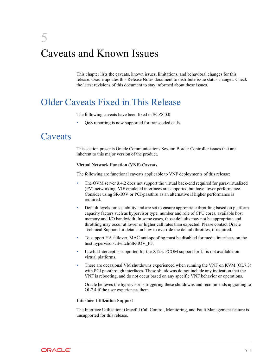## <span id="page-33-0"></span>5 Caveats and Known Issues

This chapter lists the caveats, known issues, limitations, and behavioral changes for this release. Oracle updates this Release Notes document to distribute issue status changes. Check the latest revisions of this document to stay informed about these issues.

## Older Caveats Fixed in This Release

The following caveats have been fixed in SCZ8.0.0:

• QoS reporting is now supported for transcoded calls.

## **Caveats**

This section presents Oracle Communications Session Border Controller issues that are inherent to this major version of the product.

### **Virtual Network Function (VNF) Caveats**

The following are functional caveats applicable to VNF deployments of this release:

- The OVM server 3.4.2 does not support the virtual back-end required for para-virtualized (PV) networking. VIF emulated interfaces are supported but have lower performance. Consider using SR-IOV or PCI-passthru as an alternative if higher performance is required.
- Default levels for scalability and are set to ensure appropriate throttling based on platform capacity factors such as hypervisor type, number and role of CPU cores, available host memory and I/O bandwidth. In some cases, those defaults may not be appropriate and throttling may occur at lower or higher call rates than expected. Please contact Oracle Technical Support for details on how to override the default throttles, if required.
- To support HA failover, MAC anti-spoofing must be disabled for media interfaces on the host hypervisor/vSwitch/SR-IOV\_PF.
- Lawful Intercept is supported for the X123. PCOM support for LI is not available on virtual platforms.
- There are occasional VM shutdowns experienced when running the VNF on KVM (OL7.3) with PCI passthrough interfaces. These shutdowns do not include any indication that the VNF is rebooting, and do not occur based on any specific VNF behavior or operations.

Oracle believes the hypervisor is triggering these shutdowns and recommends upgrading to OL7.4 if the user experiences them.

### **Interface Utilization Support**

The Interface Utilization: Graceful Call Control, Monitoring, and Fault Management feature is unsupported for this release.

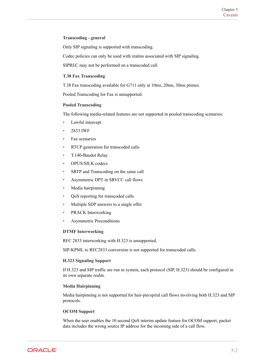### **Transcoding - general**

Only SIP signaling is supported with transcoding.

Codec policies can only be used with realms associated with SIP signaling.

SIPREC may not be performed on a transcoded call.

### **T.38 Fax Transcoding**

T.38 Fax transcoding available for G711 only at 10ms, 20ms, 30ms ptimes.

Pooled Transcoding for Fax is unsupported.

### **Pooled Transcoding**

The following media-related features are not supported in pooled transcoding scenarios:

- Lawful intercept
- 2833 IWF
- Fax scenarios
- RTCP generation for transcoded calls
- T.140-Baudot Relay
- OPUS/SILK codecs
- SRTP and Transcoding on the same call
- Asymmetric DPT in SRVCC call flows
- Media hairpinning
- QoS reporting for transcoded calls
- Multiple SDP answers to a single offer
- PRACK Interworking
- Asymmetric Preconditions

### **DTMF Interworking**

RFC 2833 interworking with H.323 is unsupported.

SIP-KPML to RFC2833 conversion is not supported for transcoded calls.

### **H.323 Signaling Support**

If H.323 and SIP traffic are run in system, each protocol (SIP, H.323) should be configured in its own separate realm.

### **Media Hairpinning**

Media hairpinning is not supported for hair-pin/spiral call flows involving both H.323 and SIP protocols.

### **OCOM Support**

When the user enables the 10 second QoS interim update feature for OCOM support, packet data includes the wrong source IP address for the incoming side of a call flow.

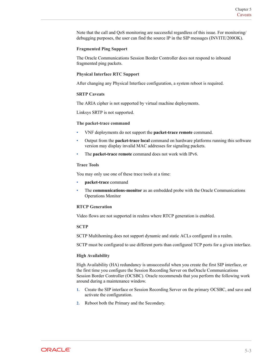Note that the call and QoS monitoring are successful regardless of this issue. For monitoring/ debugging purposes, the user can find the source IP in the SIP messages (INVITE/200OK).

### **Fragmented Ping Support**

The Oracle Communications Session Border Controller does not respond to inbound fragmented ping packets.

### **Physical Interface RTC Support**

After changing any Physical Interface configuration, a system reboot is required.

### **SRTP Caveats**

The ARIA cipher is not supported by virtual machine deployments.

Linksys SRTP is not supported.

#### **The packet-trace command**

- VNF deployments do not support the **packet-trace remote** command.
- Output from the **packet-trace local** command on hardware platforms running this software version may display invalid MAC addresses for signaling packets.
- The **packet-trace remote** command does not work with IPv6.

### **Trace Tools**

You may only use one of these trace tools at a time:

- **packet-trace** command
- The **communications-monitor** as an embedded probe with the Oracle Communications Operations Monitor

### **RTCP Generation**

Video flows are not supported in realms where RTCP generation is enabled.

### **SCTP**

SCTP Multihoming does not support dynamic and static ACLs configured in a realm.

SCTP must be configured to use different ports than configured TCP ports for a given interface.

### **High Availability**

High Availability (HA) redundancy is unsuccessful when you create the first SIP interface, or the first time you configure the Session Recording Server on theOracle Communications Session Border Controller (OCSBC). Oracle recommends that you perform the following work around during a maintenance window.

- **1.** Create the SIP interface or Session Recording Server on the primary OCSBC, and save and activate the configuration.
- **2.** Reboot both the Primary and the Secondary.

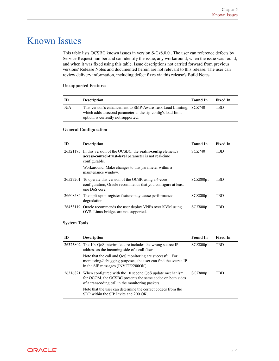## <span id="page-36-0"></span>Known Issues

This table lists OCSBC known issues in version S-Cz8.0.0 . The user can reference defects by Service Request number and can identify the issue, any workaround, when the issue was found, and when it was fixed using this table. Issue descriptions not carried forward from previous versions' Release Notes and documented herein are not relevant to this release. The user can review delivery information, including defect fixes via this release's Build Notes.

### **Unsupported Features**

| -ID | <b>Description</b>                                                                                                                                                        | <b>Found In</b> | <b>Fixed In</b> |
|-----|---------------------------------------------------------------------------------------------------------------------------------------------------------------------------|-----------------|-----------------|
| N/A | This version's enhancement to SMP-Aware Task Load Limiting, SCZ740<br>which adds a second parameter to the sip-config's load-limit<br>option, is currently not supported. |                 | TBD             |

### **General Configuration**

| ID | <b>Description</b>                                                                                                                                 | <b>Found In</b> | <b>Fixed In</b> |
|----|----------------------------------------------------------------------------------------------------------------------------------------------------|-----------------|-----------------|
|    | 26321175 In this version of the OCSBC, the <b>realm-config</b> element's<br>access-control-trust-level parameter is not real-time<br>configurable. | <b>SCZ740</b>   | TBD             |
|    | Workaround: Make changes to this parameter within a<br>maintenance window.                                                                         |                 |                 |
|    | 26527201 To operate this version of the OCSR using a 4-core<br>configuration, Oracle recommends that you configure at least<br>one DoS core.       | SCZ800p1        | TBD             |
|    | 26608584 The npli-upon-register feature may cause performance<br>degredation.                                                                      | SCZ800p1        | TBD             |
|    | 26453119 Oracle recommends the user deploy VNFs over KVM using<br>OVS. Linux bridges are not supported.                                            | SCZ800p1        | TBD             |

### **System Tools**

| ID       | <b>Description</b>                                                                                                                                                       | <b>Found In</b> | <b>Fixed In</b> |
|----------|--------------------------------------------------------------------------------------------------------------------------------------------------------------------------|-----------------|-----------------|
|          | 26323802 The 10s QoS interim feature includes the wrong source IP<br>address as the incoming side of a call flow.                                                        | SCZ800p1        | <b>TBD</b>      |
|          | Note that the call and QoS monitoring are successful. For<br>monitoring/debugging purposes, the user can find the source IP<br>in the SIP messages (INVITE/200OK).       |                 |                 |
| 26316821 | When configured with the 10 second QoS update mechanism<br>for OCOM, the OCSBC presents the same codec on both sides<br>of a transcoding call in the monitoring packets. | SCZ800p1        | TBD             |
|          | Note that the user can determine the correct codecs from the<br>SDP within the SIP Invite and 200 OK.                                                                    |                 |                 |

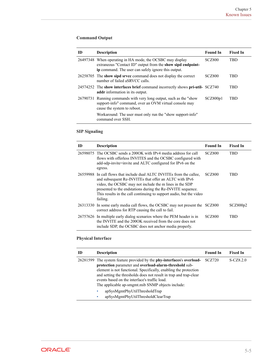### **Command Output**

| ID       | <b>Description</b>                                                                                                                                                     | <b>Found In</b> | <b>Fixed In</b> |
|----------|------------------------------------------------------------------------------------------------------------------------------------------------------------------------|-----------------|-----------------|
| 26497348 | When operating in HA mode, the OCSBC may display<br>extraneous "Contact ID" output from the show sipd endpoint-<br>ip command. The user can safely ignore this output. | <b>SCZ800</b>   | <b>TBD</b>      |
|          | 26258705 The show sipd srvcc command does not display the correct<br>number of failed aSRVCC calls.                                                                    | <b>SCZ800</b>   | <b>TBD</b>      |
|          | 24574252 The show interfaces brief command incorrectly shows pri-util- SCZ740<br><b>addr</b> information in its output.                                                |                 | <b>TBD</b>      |
|          | 26790731 Running commands with very long output, such as the "show<br>support-info" command, over an OVM virtual console may<br>cause the system to reboot.            | SCZ800p1        | TBD             |
|          | Workaround: The user must only run the "show support-info"<br>command over SSH.                                                                                        |                 |                 |

### **SIP Signaling**

| ID | <b>Description</b>                                                                                                                                                                                                                                                                                                                            | <b>Found In</b> | <b>Fixed In</b> |
|----|-----------------------------------------------------------------------------------------------------------------------------------------------------------------------------------------------------------------------------------------------------------------------------------------------------------------------------------------------|-----------------|-----------------|
|    | 26598075 The OCSBC sends a 200OK with IPv4 media address for call<br>flows with offerless INVITES and the OCSBC configured with<br>add-sdp-invite=invite and ALTC configured for IPv6 on the<br>egress.                                                                                                                                       | <b>SCZ800</b>   | <b>TBD</b>      |
|    | 26559988 In call flows that include dual ALTC INVITEs from the callee.<br>and subsequent Re-INVITEs that offer an ALTC with IPv6<br>video, the OCSBC may not include the m lines in the SDP<br>presented to the endstations during the Re-INVITE sequence.<br>This results in the call continuing to support audio, but the video<br>failing. | <b>SCZ800</b>   | TBD             |
|    | 26313330 In some early media call flows, the OCSBC may not present the SCZ800<br>correct address for RTP causing the call to fail.                                                                                                                                                                                                            |                 | SCZ800p2        |
|    | 26757626 In multiple early dialog scenarios where the PEM header is in<br>the INVITE and the 2000K received from the core does not<br>include SDP, the OCSBC does not anchor media properly.                                                                                                                                                  | <b>SCZ800</b>   | TBD             |

### **Physical Interface**

| ID | <b>Description</b>                                                                                                                                                                                                                                                                                                                                                                             | <b>Found In</b> | <b>Fixed In</b> |
|----|------------------------------------------------------------------------------------------------------------------------------------------------------------------------------------------------------------------------------------------------------------------------------------------------------------------------------------------------------------------------------------------------|-----------------|-----------------|
|    | 26281599 The system feature provided by the <b>phy-interfaces</b> 's <b>overload-</b><br>protection parameter and overload-alarm-threshold sub-<br>element is not functional. Specifically, enabling the protection<br>and setting the thresholds does not result in trap and trap-clear<br>events based on the interface's traffic load.<br>The applicable ap-smgmt.mib SNMP objects include: | SCZ720          | $S-CZ8.2.0$     |
|    | apSysMgmtPhyUtilThresholdTrap<br>٠<br>apSysMgmtPhyUtilThresholdClearTrap<br>٠                                                                                                                                                                                                                                                                                                                  |                 |                 |

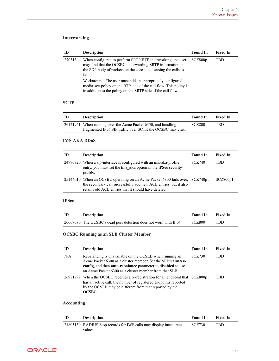### **Interworking**

| ID | <b>Description</b>                                                                                                                                                                                          | <b>Found In</b> | <b>Fixed In</b> |
|----|-------------------------------------------------------------------------------------------------------------------------------------------------------------------------------------------------------------|-----------------|-----------------|
|    | 27031344 When configured to perform SRTP-RTP interworking, the user<br>may find that the OCSBC is forwarding SRTP information in<br>the SDP body of packets on the core side, causing the calls to<br>fail. | SCZ800p1        | TBD             |
|    | Workaround: The user must add an appropriately configured<br>media-sec-policy on the RTP side of the call flow. This policy is<br>in addition to the policy on the SRTP side of the call flow.              |                 |                 |

### **SCTP**

| -ID | <b>Description</b>                                            | <b>Found In</b> | <b>Fixed In</b> |
|-----|---------------------------------------------------------------|-----------------|-----------------|
|     | 26121961 When running over the Acme Packet 6350, and handling | <b>SCZ800</b>   | TBD             |
|     | fragmented IPv6 SIP traffic over SCTP, the OCSBC may crash.   |                 |                 |

### **IMS-AKA DDoS**

| ID | <b>Description</b>                                                                                                                                                                                      | <b>Found In</b> | <b>Fixed In</b> |
|----|---------------------------------------------------------------------------------------------------------------------------------------------------------------------------------------------------------|-----------------|-----------------|
|    | 24790920 When a sip-interface is configured with an ims-aka-profile<br>entry, you must set the ims aka option in the IPSec security-<br>profile.                                                        | <b>SCZ740</b>   | TBD             |
|    | 25144010 When an OCSBC operating on an Acme Packet 6300 fails over, SCZ740p1<br>the secondary can successfully add new ACL entries, but it also<br>retains old ACL entries that it should have deleted. |                 | SCZ800p1        |

### **IPSec**

| ID | <b>Description</b>                                                | <b>Found In</b> | - Fixed In |
|----|-------------------------------------------------------------------|-----------------|------------|
|    | 26669090 The OCSBC's dead peer detection does not work with IPv4. | <b>SCZ800</b>   | TBD        |

### **OCSBC Running as an SLB Cluster Member**

| m   | <b>Description</b>                                                                                                                                                                                                                                | <b>Found In</b> | <b>Fixed In</b> |
|-----|---------------------------------------------------------------------------------------------------------------------------------------------------------------------------------------------------------------------------------------------------|-----------------|-----------------|
| N/A | Rebalancing is unavailable on the OCSLB when running an<br>Acme Packet 6300 as a cluster member. Set the SLB's cluster-<br>config, and then auto-rebalance parameter to disabled to use<br>an Acme Packet 6300 as a cluster member from that SLB. | <b>SCZ730</b>   | TBD             |
|     | 26981799 When the OCSBC receives a re-registration for an endpoint that SCZ800p1<br>has an active call, the number of registered endpoints reported<br>by the OCSLB may be different from that reported by the<br>OCSBC.                          |                 | TBD             |

### **Accounting**

| ID | <b>Description</b>                                                           | <b>Found In</b> | <b>Fixed In</b> |
|----|------------------------------------------------------------------------------|-----------------|-----------------|
|    | 21805139 RADIUS Stop records for IWF calls may display inaccurate<br>values. | SCZ730          | TBD             |

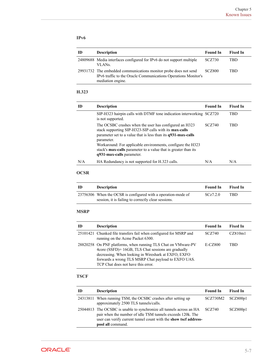### **IPv6**

| ID | <b>Description</b>                                                                                                                                      | <b>Found In</b> | <b>Fixed In</b> |
|----|---------------------------------------------------------------------------------------------------------------------------------------------------------|-----------------|-----------------|
|    | 24809688 Media interfaces configured for IPv6 do not support multiple<br>VLAN <sub>S</sub>                                                              | SCZ730          | TRD             |
|    | 29931732 The embedded communications monitor probe does not send<br>IPv6 traffic to the Oracle Communications Operations Monitor's<br>mediation engine. | SCZ800          | TBD             |

### **H.323**

| ID  | <b>Description</b>                                                                                                                                                                                                                                                                                                                                                              | <b>Found In</b> | <b>Fixed In</b> |
|-----|---------------------------------------------------------------------------------------------------------------------------------------------------------------------------------------------------------------------------------------------------------------------------------------------------------------------------------------------------------------------------------|-----------------|-----------------|
|     | SIP-H323 hairpin calls with DTMF tone indication interworking SCZ720<br>is not supported.                                                                                                                                                                                                                                                                                       |                 | <b>TBD</b>      |
|     | The OCSBC crashes when the user has configured an H323<br>stack supporting SIP-H323-SIP calls with its <b>max-calls</b><br>parameter set to a value that is less than its $q931$ -max-calls<br>parameter.<br>Workaround: For applicable environments, configure the H323<br>stack's <b>max-calls</b> parameter to a value that is greater than its<br>q931-max-calls parameter. | <b>SCZ740</b>   | <b>TBD</b>      |
| N/A | HA Redundancy is not supported for H.323 calls.                                                                                                                                                                                                                                                                                                                                 | N/A             | N/A             |

### **OCSR**

| -ID | <b>Description</b>                                                                                                   | <b>Found In</b> | <b>Fixed In</b> |
|-----|----------------------------------------------------------------------------------------------------------------------|-----------------|-----------------|
|     | 23756306 When the OCSR is configured with a operation-mode of<br>session, it is failing to correctly clear sessions. | SCz7.2.0        | TBD             |

### **MSRP**

| ID | <b>Description</b>                                                                                                                                                                                                                                                       | <b>Found In</b> | <b>Fixed In</b> |
|----|--------------------------------------------------------------------------------------------------------------------------------------------------------------------------------------------------------------------------------------------------------------------------|-----------------|-----------------|
|    | 25101421 Chunked file transfers fail when configured for MSRP and<br>running on the Acme Packet 6300.                                                                                                                                                                    | <b>SCZ740</b>   | CZ810m1         |
|    | 28820258 On PNF platforms, when running TLS Chat on VMware-PV<br>4core (SSFD)+ 16GB, TLS Chat sessions are gradually<br>decreasing. When looking in Wireshark at EXFO, EXFO<br>forwards a wrong TLS MSRP Chat payload to EXFO UAS.<br>TCP Chat does not have this error. | $E-CZ800$       | TBD             |

### **TSCF**

| ID | <b>Description</b>                                                                                                                                                                                                          | <b>Found In</b>       | <b>Fixed In</b> |
|----|-----------------------------------------------------------------------------------------------------------------------------------------------------------------------------------------------------------------------------|-----------------------|-----------------|
|    | 24313811 When running TSM, the OCSBC crashes after setting up<br>approximately 2500 TLS tunnels/calls.                                                                                                                      | $SCZ730M2$ $SCZ800p1$ |                 |
|    | 25044813 The OCSBC is unable to synchronize all tunnels across an HA<br>pair when the number of idle TSM tunnels exceeds 120k. The<br>user can verify current tunnel count with the show tsef address-<br>pool all command. | SCZ740                | SCZ800p1        |